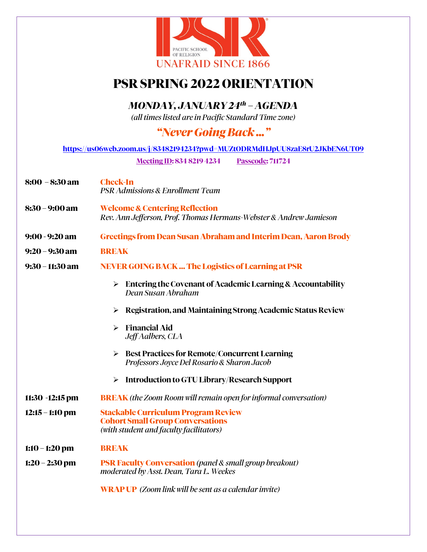

# **PSR SPRING 2022 ORIENTATION**

#### *MONDAY, JANUARY 24th – AGENDA*

*(all times listed are in Pacific Standard Time zone)*

## *"Never Going Back …"*

#### **<https://us06web.zoom.us/j/83482194234?pwd=MUZtODRMdHJpUU8zaE8rU2JKbEN6UT09>**

**Meeting ID: 834 8219 4234 Passcode: 711724**

- **8:00 – 8:30 am Check-In** *PSR Admissions & Enrollment Team*
- **8:30 – 9:00 am Welcome & Centering Reflection** *Rev. Ann Jefferson, Prof. Thomas Hermans-Webster & Andrew Jamieson*
- **9:00 - 9:20 am Greetings from Dean Susan Abraham and Interim Dean, Aaron Brody**
- **9:20 – 9:30am BREAK**

#### **9:30 – 11:30 am NEVER GOING BACK … The Logistics of Learning at PSR**

- **Entering the Covenant of Academic Learning & Accountability** *Dean Susan Abraham*
- **Registration, and Maintaining Strong Academic Status Review**
- **Financial Aid** *Jeff Aalbers, CLA*
- **Best Practices for Remote/Concurrent Learning** *Professors Joyce Del Rosario & Sharon Jacob*
- **Introduction to GTU Library/Research Support**
- **11:30 -12:15 pm BREAK** *(the Zoom Room will remain open for informal conversation)*
- **12:15 – 1:10 pm Stackable Curriculum Program Review Cohort Small Group Conversations** *(with student and faculty facilitators)*
- **1:10 – 1:20 pm BREAK**
- **1:20 – 2:30pm PSR Faculty Conversation** *(panel & small group breakout) moderated by Asst. Dean, Tara L. Weekes*
	- **WRAP UP** *(Zoom link will be sent as a calendar invite)*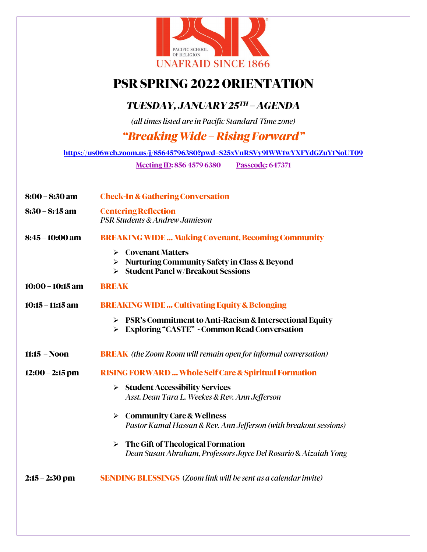

# **PSR SPRING 2022 ORIENTATION**

### *TUESDAY, JANUARY 25TH – AGENDA*

*(all times listed are in Pacific Standard Time zone)*

*"Breaking Wide – Rising Forward"*

**<https://us06web.zoom.us/j/85645796380?pwd=S25xVnRSVy9IWW1wYXFYdGZuY1NoUT09>**

**Meeting ID: 856 4579 6380 Passcode: 647371**

| $8:00 - 8:30$ am   | <b>Check-In &amp; Gathering Conversation</b>                                                                                                                                                                                                                                                                                                                                                                      |
|--------------------|-------------------------------------------------------------------------------------------------------------------------------------------------------------------------------------------------------------------------------------------------------------------------------------------------------------------------------------------------------------------------------------------------------------------|
| $8:30 - 8:45$ am   | <b>Centering Reflection</b><br>PSR Students & Andrew Jamieson                                                                                                                                                                                                                                                                                                                                                     |
| $8:45 - 10:00$ am  | <b>BREAKING WIDE  Making Covenant, Becoming Community</b><br><b>Covenant Matters</b><br>➤<br>Nurturing Community Safety in Class & Beyond<br>➤<br>Student Panel w/Breakout Sessions                                                                                                                                                                                                                               |
| $10:00 - 10:15$ am | <b>BREAK</b>                                                                                                                                                                                                                                                                                                                                                                                                      |
| $10:15 - 11:15$ am | <b>BREAKING WIDE Cultivating Equity &amp; Belonging</b><br>$\triangleright$ PSR's Commitment to Anti-Racism & Intersectional Equity<br>> Exploring "CASTE" - Common Read Conversation                                                                                                                                                                                                                             |
| $11:15 - Noon$     | <b>BREAK</b> (the Zoom Room will remain open for informal conversation)                                                                                                                                                                                                                                                                                                                                           |
| $12:00 - 2:15$ pm  | <b>RISING FORWARD  Whole Self Care &amp; Spiritual Formation</b><br>$\triangleright$ Student Accessibility Services<br>Asst. Dean Tara L. Weekes & Rev. Ann Jefferson<br>$\triangleright$ Community Care & Wellness<br>Pastor Kamal Hassan & Rev. Ann Jefferson (with breakout sessions)<br>$\triangleright$ The Gift of Theological Formation<br>Dean Susan Abraham, Professors Joyce Del Rosario & Aizaiah Yong |
| $2:15 - 2:30$ pm   | <b>SENDING BLESSINGS</b> (Zoom link will be sent as a calendar invite)                                                                                                                                                                                                                                                                                                                                            |